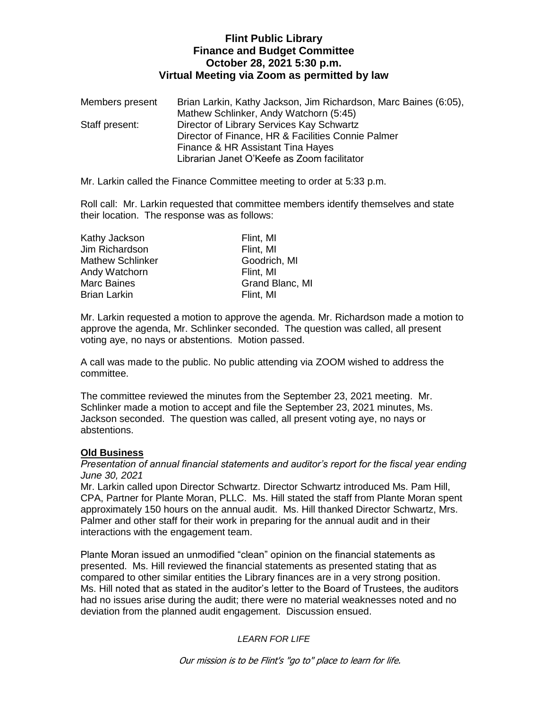## **Flint Public Library Finance and Budget Committee October 28, 2021 5:30 p.m. Virtual Meeting via Zoom as permitted by law**

| Members present | Brian Larkin, Kathy Jackson, Jim Richardson, Marc Baines (6:05), |
|-----------------|------------------------------------------------------------------|
|                 | Mathew Schlinker, Andy Watchorn (5:45)                           |
| Staff present:  | Director of Library Services Kay Schwartz                        |
|                 | Director of Finance, HR & Facilities Connie Palmer               |
|                 | Finance & HR Assistant Tina Hayes                                |
|                 | Librarian Janet O'Keefe as Zoom facilitator                      |

Mr. Larkin called the Finance Committee meeting to order at 5:33 p.m.

Roll call: Mr. Larkin requested that committee members identify themselves and state their location. The response was as follows:

| Kathy Jackson           | Flint, MI       |  |
|-------------------------|-----------------|--|
| Jim Richardson          | Flint, MI       |  |
| <b>Mathew Schlinker</b> | Goodrich, MI    |  |
| Andy Watchorn           | Flint, MI       |  |
| <b>Marc Baines</b>      | Grand Blanc, MI |  |
| <b>Brian Larkin</b>     | Flint, MI       |  |

Mr. Larkin requested a motion to approve the agenda. Mr. Richardson made a motion to approve the agenda, Mr. Schlinker seconded. The question was called, all present voting aye, no nays or abstentions. Motion passed.

A call was made to the public. No public attending via ZOOM wished to address the committee.

The committee reviewed the minutes from the September 23, 2021 meeting. Mr. Schlinker made a motion to accept and file the September 23, 2021 minutes, Ms. Jackson seconded. The question was called, all present voting aye, no nays or abstentions.

# **Old Business**

*Presentation of annual financial statements and auditor's report for the fiscal year ending June 30, 2021*

Mr. Larkin called upon Director Schwartz. Director Schwartz introduced Ms. Pam Hill, CPA, Partner for Plante Moran, PLLC. Ms. Hill stated the staff from Plante Moran spent approximately 150 hours on the annual audit. Ms. Hill thanked Director Schwartz, Mrs. Palmer and other staff for their work in preparing for the annual audit and in their interactions with the engagement team.

Plante Moran issued an unmodified "clean" opinion on the financial statements as presented. Ms. Hill reviewed the financial statements as presented stating that as compared to other similar entities the Library finances are in a very strong position. Ms. Hill noted that as stated in the auditor's letter to the Board of Trustees, the auditors had no issues arise during the audit; there were no material weaknesses noted and no deviation from the planned audit engagement. Discussion ensued.

# *LEARN FOR LIFE*

Our mission is to be Flint's "go to" place to learn for life.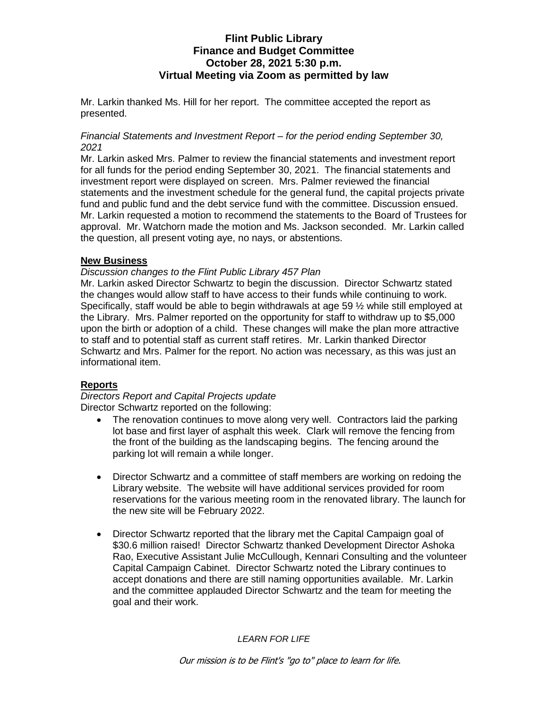## **Flint Public Library Finance and Budget Committee October 28, 2021 5:30 p.m. Virtual Meeting via Zoom as permitted by law**

Mr. Larkin thanked Ms. Hill for her report. The committee accepted the report as presented.

### *Financial Statements and Investment Report – for the period ending September 30, 2021*

Mr. Larkin asked Mrs. Palmer to review the financial statements and investment report for all funds for the period ending September 30, 2021. The financial statements and investment report were displayed on screen. Mrs. Palmer reviewed the financial statements and the investment schedule for the general fund, the capital projects private fund and public fund and the debt service fund with the committee. Discussion ensued. Mr. Larkin requested a motion to recommend the statements to the Board of Trustees for approval. Mr. Watchorn made the motion and Ms. Jackson seconded. Mr. Larkin called the question, all present voting aye, no nays, or abstentions.

### **New Business**

### *Discussion changes to the Flint Public Library 457 Plan*

Mr. Larkin asked Director Schwartz to begin the discussion. Director Schwartz stated the changes would allow staff to have access to their funds while continuing to work. Specifically, staff would be able to begin withdrawals at age 59 ½ while still employed at the Library. Mrs. Palmer reported on the opportunity for staff to withdraw up to \$5,000 upon the birth or adoption of a child. These changes will make the plan more attractive to staff and to potential staff as current staff retires. Mr. Larkin thanked Director Schwartz and Mrs. Palmer for the report. No action was necessary, as this was just an informational item.

### **Reports**

*Directors Report and Capital Projects update* Director Schwartz reported on the following:

- The renovation continues to move along very well. Contractors laid the parking lot base and first layer of asphalt this week. Clark will remove the fencing from the front of the building as the landscaping begins. The fencing around the parking lot will remain a while longer.
- Director Schwartz and a committee of staff members are working on redoing the Library website. The website will have additional services provided for room reservations for the various meeting room in the renovated library. The launch for the new site will be February 2022.
- Director Schwartz reported that the library met the Capital Campaign goal of \$30.6 million raised! Director Schwartz thanked Development Director Ashoka Rao, Executive Assistant Julie McCullough, Kennari Consulting and the volunteer Capital Campaign Cabinet. Director Schwartz noted the Library continues to accept donations and there are still naming opportunities available. Mr. Larkin and the committee applauded Director Schwartz and the team for meeting the goal and their work.

*LEARN FOR LIFE*